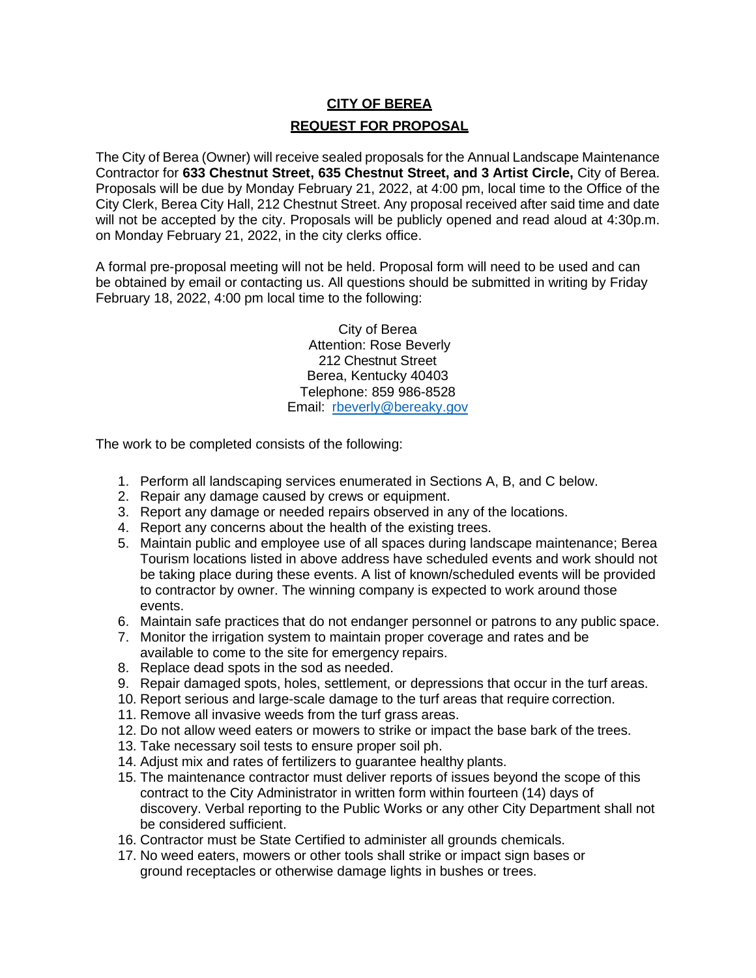# **CITY OF BEREA REQUEST FOR PROPOSAL**

The City of Berea (Owner) will receive sealed proposals for the Annual Landscape Maintenance Contractor for **633 Chestnut Street, 635 Chestnut Street, and 3 Artist Circle,** City of Berea. Proposals will be due by Monday February 21, 2022, at 4:00 pm, local time to the Office of the City Clerk, Berea City Hall, 212 Chestnut Street. Any proposal received after said time and date will not be accepted by the city. Proposals will be publicly opened and read aloud at 4:30p.m. on Monday February 21, 2022, in the city clerks office.

A formal pre-proposal meeting will not be held. Proposal form will need to be used and can be obtained by email or contacting us. All questions should be submitted in writing by Friday February 18, 2022, 4:00 pm local time to the following:

> City of Berea Attention: Rose Beverly 212 Chestnut Street Berea, Kentucky 40403 Telephone: 859 986-8528 Email: [rbeverly@bereaky.gov](mailto:rbeverly@bereaky.gov)

The work to be completed consists of the following:

- 1. Perform all landscaping services enumerated in Sections A, B, and C below.
- 2. Repair any damage caused by crews or equipment.
- 3. Report any damage or needed repairs observed in any of the locations.
- 4. Report any concerns about the health of the existing trees.
- 5. Maintain public and employee use of all spaces during landscape maintenance; Berea Tourism locations listed in above address have scheduled events and work should not be taking place during these events. A list of known/scheduled events will be provided to contractor by owner. The winning company is expected to work around those events.
- 6. Maintain safe practices that do not endanger personnel or patrons to any public space.
- 7. Monitor the irrigation system to maintain proper coverage and rates and be available to come to the site for emergency repairs.
- 8. Replace dead spots in the sod as needed.
- 9. Repair damaged spots, holes, settlement, or depressions that occur in the turf areas.
- 10. Report serious and large-scale damage to the turf areas that require correction.
- 11. Remove all invasive weeds from the turf grass areas.
- 12. Do not allow weed eaters or mowers to strike or impact the base bark of the trees.
- 13. Take necessary soil tests to ensure proper soil ph.
- 14. Adjust mix and rates of fertilizers to guarantee healthy plants.
- 15. The maintenance contractor must deliver reports of issues beyond the scope of this contract to the City Administrator in written form within fourteen (14) days of discovery. Verbal reporting to the Public Works or any other City Department shall not be considered sufficient.
- 16. Contractor must be State Certified to administer all grounds chemicals.
- 17. No weed eaters, mowers or other tools shall strike or impact sign bases or ground receptacles or otherwise damage lights in bushes or trees.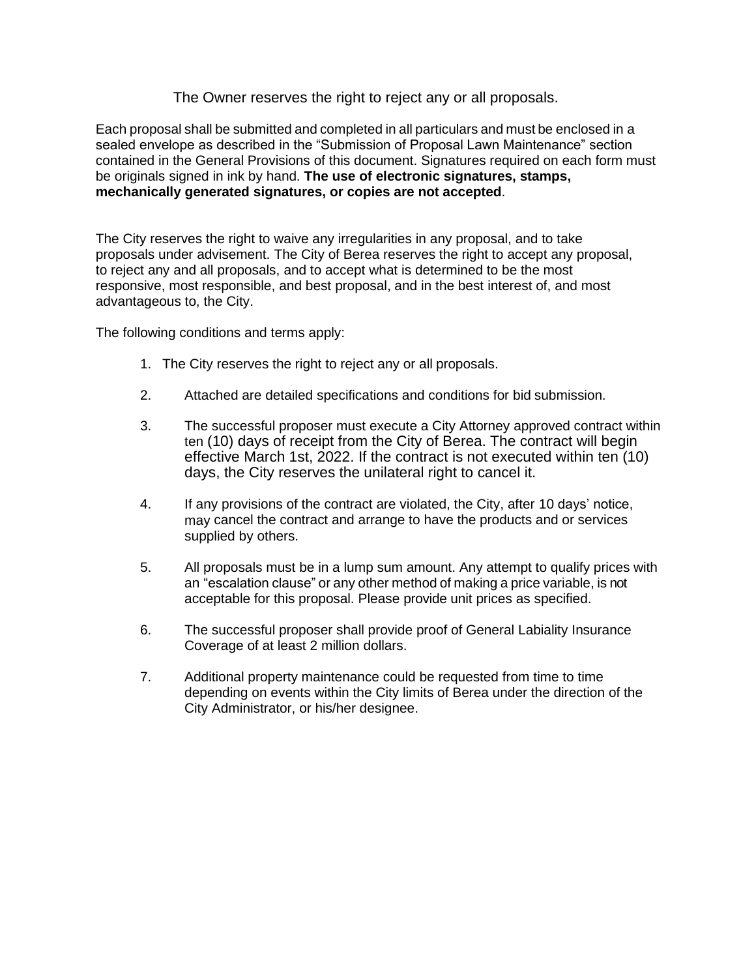## The Owner reserves the right to reject any or all proposals.

Each proposal shall be submitted and completed in all particulars and must be enclosed in a sealed envelope as described in the "Submission of Proposal Lawn Maintenance" section contained in the General Provisions of this document. Signatures required on each form must be originals signed in ink by hand. **The use of electronic signatures, stamps, mechanically generated signatures, or copies are not accepted**.

The City reserves the right to waive any irregularities in any proposal, and to take proposals under advisement. The City of Berea reserves the right to accept any proposal, to reject any and all proposals, and to accept what is determined to be the most responsive, most responsible, and best proposal, and in the best interest of, and most advantageous to, the City.

The following conditions and terms apply:

- 1. The City reserves the right to reject any or all proposals.
- 2. Attached are detailed specifications and conditions for bid submission.
- 3. The successful proposer must execute a City Attorney approved contract within ten (10) days of receipt from the City of Berea. The contract will begin effective March 1st, 2022. If the contract is not executed within ten (10) days, the City reserves the unilateral right to cancel it.
- 4. If any provisions of the contract are violated, the City, after 10 days' notice, may cancel the contract and arrange to have the products and or services supplied by others.
- 5. All proposals must be in a lump sum amount. Any attempt to qualify prices with an "escalation clause" or any other method of making a price variable, is not acceptable for this proposal. Please provide unit prices as specified.
- 6. The successful proposer shall provide proof of General Labiality Insurance Coverage of at least 2 million dollars.
- 7. Additional property maintenance could be requested from time to time depending on events within the City limits of Berea under the direction of the City Administrator, or his/her designee.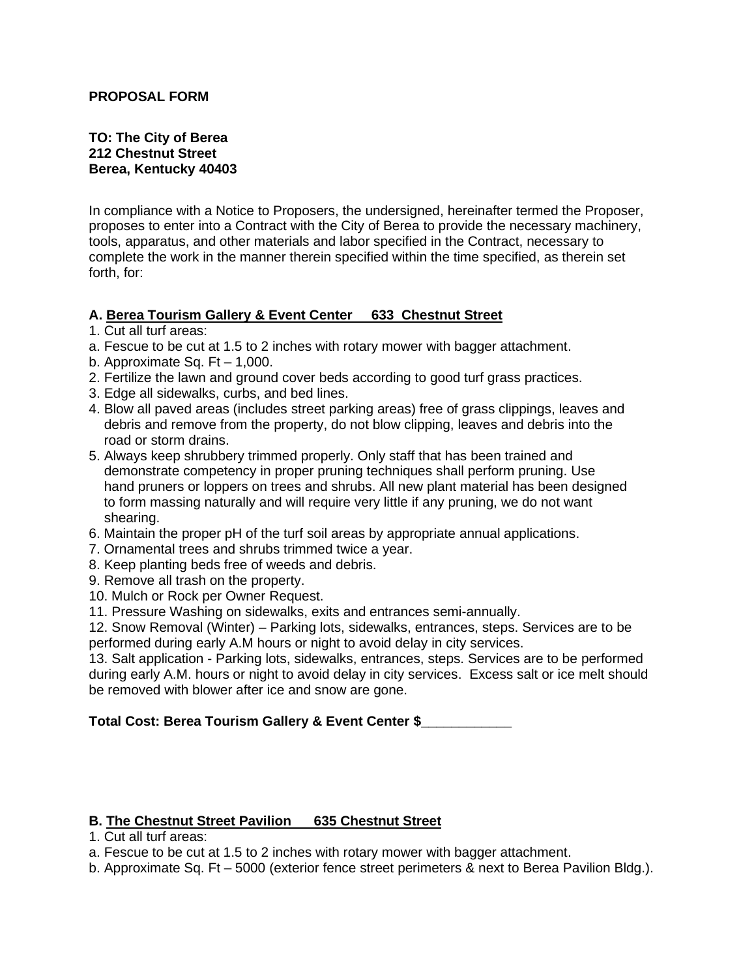#### **PROPOSAL FORM**

#### **TO: The City of Berea 212 Chestnut Street Berea, Kentucky 40403**

In compliance with a Notice to Proposers, the undersigned, hereinafter termed the Proposer, proposes to enter into a Contract with the City of Berea to provide the necessary machinery, tools, apparatus, and other materials and labor specified in the Contract, necessary to complete the work in the manner therein specified within the time specified, as therein set forth, for:

#### **A. Berea Tourism Gallery & Event Center 633 Chestnut Street**

- 1. Cut all turf areas:
- a. Fescue to be cut at 1.5 to 2 inches with rotary mower with bagger attachment.
- b. Approximate Sq.  $Ft 1.000$ .
- 2. Fertilize the lawn and ground cover beds according to good turf grass practices.
- 3. Edge all sidewalks, curbs, and bed lines.
- 4. Blow all paved areas (includes street parking areas) free of grass clippings, leaves and debris and remove from the property, do not blow clipping, leaves and debris into the road or storm drains.
- 5. Always keep shrubbery trimmed properly. Only staff that has been trained and demonstrate competency in proper pruning techniques shall perform pruning. Use hand pruners or loppers on trees and shrubs. All new plant material has been designed to form massing naturally and will require very little if any pruning, we do not want shearing.
- 6. Maintain the proper pH of the turf soil areas by appropriate annual applications.
- 7. Ornamental trees and shrubs trimmed twice a year.
- 8. Keep planting beds free of weeds and debris.
- 9. Remove all trash on the property.
- 10. Mulch or Rock per Owner Request.
- 11. Pressure Washing on sidewalks, exits and entrances semi-annually.

12. Snow Removal (Winter) – Parking lots, sidewalks, entrances, steps. Services are to be performed during early A.M hours or night to avoid delay in city services.

13. Salt application - Parking lots, sidewalks, entrances, steps. Services are to be performed during early A.M. hours or night to avoid delay in city services. Excess salt or ice melt should be removed with blower after ice and snow are gone.

#### **Total Cost: Berea Tourism Gallery & Event Center \$\_\_\_\_\_\_\_\_\_\_\_\_**

#### **B. The Chestnut Street Pavilion 635 Chestnut Street**

- 1. Cut all turf areas:
- a. Fescue to be cut at 1.5 to 2 inches with rotary mower with bagger attachment.
- b. Approximate Sq. Ft 5000 (exterior fence street perimeters & next to Berea Pavilion Bldg.).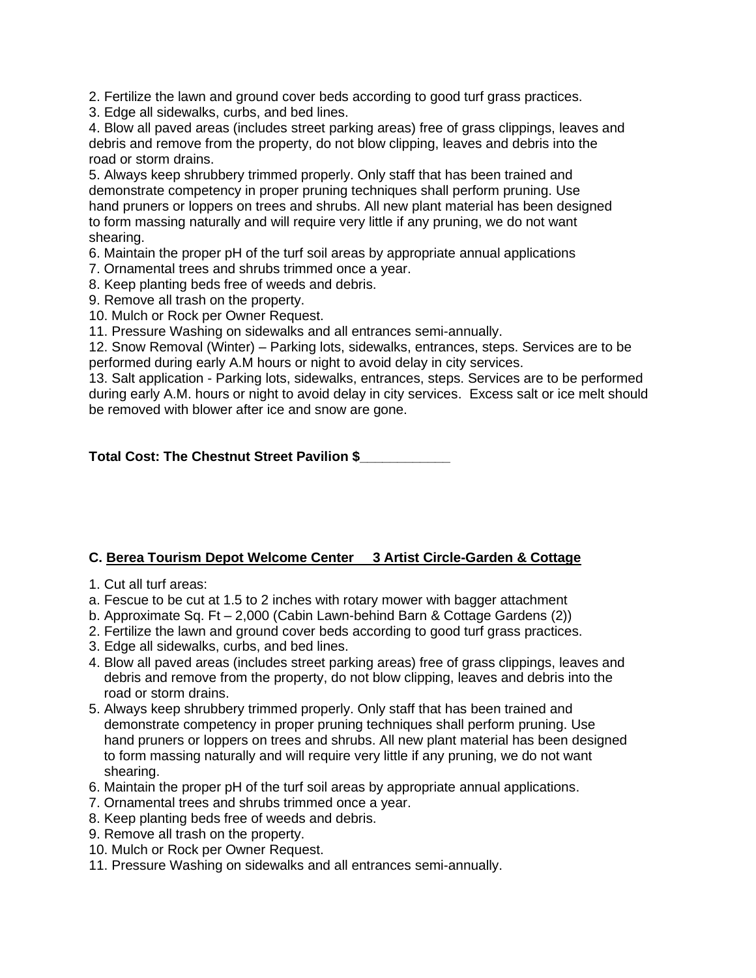2. Fertilize the lawn and ground cover beds according to good turf grass practices.

3. Edge all sidewalks, curbs, and bed lines.

4. Blow all paved areas (includes street parking areas) free of grass clippings, leaves and debris and remove from the property, do not blow clipping, leaves and debris into the road or storm drains.

5. Always keep shrubbery trimmed properly. Only staff that has been trained and demonstrate competency in proper pruning techniques shall perform pruning. Use hand pruners or loppers on trees and shrubs. All new plant material has been designed to form massing naturally and will require very little if any pruning, we do not want shearing.

6. Maintain the proper pH of the turf soil areas by appropriate annual applications

7. Ornamental trees and shrubs trimmed once a year.

8. Keep planting beds free of weeds and debris.

9. Remove all trash on the property.

10. Mulch or Rock per Owner Request.

11. Pressure Washing on sidewalks and all entrances semi-annually.

12. Snow Removal (Winter) – Parking lots, sidewalks, entrances, steps. Services are to be performed during early A.M hours or night to avoid delay in city services.

13. Salt application - Parking lots, sidewalks, entrances, steps. Services are to be performed during early A.M. hours or night to avoid delay in city services. Excess salt or ice melt should be removed with blower after ice and snow are gone.

**Total Cost: The Chestnut Street Pavilion \$\_\_\_\_\_\_\_\_\_\_\_\_**

# **C. Berea Tourism Depot Welcome Center 3 Artist Circle-Garden & Cottage**

- 1. Cut all turf areas:
- a. Fescue to be cut at 1.5 to 2 inches with rotary mower with bagger attachment
- b. Approximate Sq. Ft 2,000 (Cabin Lawn-behind Barn & Cottage Gardens (2))
- 2. Fertilize the lawn and ground cover beds according to good turf grass practices.
- 3. Edge all sidewalks, curbs, and bed lines.
- 4. Blow all paved areas (includes street parking areas) free of grass clippings, leaves and debris and remove from the property, do not blow clipping, leaves and debris into the road or storm drains.
- 5. Always keep shrubbery trimmed properly. Only staff that has been trained and demonstrate competency in proper pruning techniques shall perform pruning. Use hand pruners or loppers on trees and shrubs. All new plant material has been designed to form massing naturally and will require very little if any pruning, we do not want shearing.
- 6. Maintain the proper pH of the turf soil areas by appropriate annual applications.
- 7. Ornamental trees and shrubs trimmed once a year.
- 8. Keep planting beds free of weeds and debris.
- 9. Remove all trash on the property.
- 10. Mulch or Rock per Owner Request.
- 11. Pressure Washing on sidewalks and all entrances semi-annually.